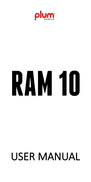

# **RAM 10**

# USER MANUAL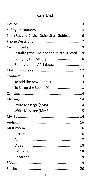### **Contact**

| Plum Rugged Device Quick Start Guide 6    |  |  |
|-------------------------------------------|--|--|
|                                           |  |  |
|                                           |  |  |
| Installing the SIM and the Micro SD card9 |  |  |
|                                           |  |  |
| Setting up the APN data11                 |  |  |
|                                           |  |  |
|                                           |  |  |
| To add the new Contact 13                 |  |  |
| To Setup the Speed Dial 13                |  |  |
|                                           |  |  |
|                                           |  |  |
| Write Message (SMS) 14                    |  |  |
| Write Message (MMS) 15                    |  |  |
|                                           |  |  |
|                                           |  |  |
|                                           |  |  |
|                                           |  |  |
|                                           |  |  |
|                                           |  |  |
|                                           |  |  |
|                                           |  |  |
|                                           |  |  |
|                                           |  |  |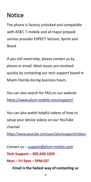# <span id="page-3-0"></span>Notice

The phone is factory unlocked and compatible with AT&T, T-mobile and all major prepaid service provider EXPECT Verizon, Sprint and Boost

If you still need help, please contact us by phone or email. Most issues are resolved quickly by contacting our tech support based in Miami Florida during business hours.

You can also search for FAQ on our website <https://www.plum-mobile.com/support/>

You can also watch helpful videos of how to setup your device videos on our YouTube channel

<https://www.youtube.com/user/plumsupport/videos>

Contact us – [support@plum-mobile.com](mailto:support@plum-mobile.com)

**Tech Support – 305.640.1835**

### **Mon –Fri 9am – 5PM EST**

**Email is the fastestway of contacting us**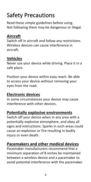# <span id="page-4-0"></span>Safety Precautions

Read these simple guidelines before using. Not following them may be dangerous or illegal.

### **Aircraft**

Switch off in aircraft and follow any restrictions. Wireless devices can cause interference in aircraft.

### **Vehicles**

Never use your device while driving. Place it in a safe place.

Position your device within easy reach. Be able to access your device without removing your eyes from the road.

### **Electronic devices**

In some circumstances your device may cause interference with other devices.

### **Potentially explosive environments**

Switch off your device when in any area with a potentially explosive atmosphere, and obey all signs and instructions. Sparks in such areas could cause an explosion or fire resulting in bodily injury or even death.

### **Pacemakers and other medical devices**

Pacemaker manufacturers recommend that a minimum separation of 8 inches be maintained between a wireless device and a pacemaker to avoid potential interference with the pacemaker.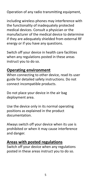Operation of any radio transmitting equipment,

including wireless phones may interference with the functionality of inadequately protected medical devices. Consult a physician or the manufacturer of the medical device to determine if they are adequately shielded from external RF energy or if you have any questions.

Switch off your device in health care facilities when any regulations posted in these areas instruct you to do so.

### **Operating environment**

When connecting to other device, read its user guide for detailed safety instructions. Do not connect incompatible products.

Do not place your device in the air bag deployment area.

Use the device only in its normal operating positions as explained in the product documentation.

Always switch off your device when its use is prohibited or when it may cause interference and danger.

### **Areas with posted regulations**

Switch off your device when any regulations posted in these areas instruct you to do so.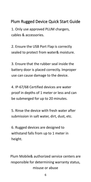### <span id="page-6-0"></span>Plum Rugged Device Quick Start Guide

1. Only use approved PLUM chargers, cables & accessories.

2. Ensure the USB Port Flap is correctly sealed to protect from water& moisture.

3. Ensure that the rubber seal inside the battery door is placed correctly. Improper use can cause damage to the device.

4. IP-67/68 Certified devices are water proof in depths of 1 meter or less and can be submerged for up to 20 minutes.

5. Rinse the device with fresh water after submission in salt water, dirt, dust, etc.

6. Rugged devices are designed to withstand falls from up to 1 meter in height.

Plum Mobile& authorized service centers are responsible for determining warranty status, misuse or abuse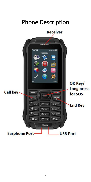<span id="page-7-0"></span>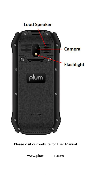

### Please visit our website for User Manual

www.plum-mobile.com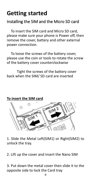# <span id="page-9-0"></span>**Getting started**

### <span id="page-9-1"></span>Installing the SIM and the Micro SD card

To insert the SIM card and Micro SD card, please make sure your phone is Power off, then remove the cover, battery and other external power connection.

To loose the screws of the battery cover, please use the coin or tools to rotate the screw of the battery cover counterclockwise

Tight the screws of the battery cover back when the SIM/ SD card are inserted



**To insert the SIM card**

1. Slide the Metal Left(SIM1) or Right(SIM2) to unlock the tray.

2. Lift up the cover and insert the Nano SIM

3. Put down the metal cover then slide it to the opposite side to lock the Card tray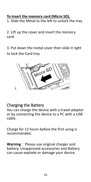### **To insert the memory card (Micro SD),**

1. Slide the Metal to the left to unlock the tray.

2. Lift up the cover and insert the memory card.

3. Put down the metal cover then slide it right to lock the Card tray



### <span id="page-10-0"></span>Charging the Battery

You can charge the device with a travel adapter or by connecting the device to a PC with a USB cable.

Charge for 12 hours before the first using is recommended.

**Warning**: Please use original charger and battery. Unapproved accessories and Battery can cause explode or damage your device.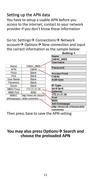### <span id="page-11-0"></span>Setting up the APN data

You have to setup a usable APN before you access to the internet, contact to your network provider if you don't know these information

Go to: Settings → Connections → Network  $account \rightarrow Options \rightarrow New connection$  and input the correct information as the sample below:

|                  |                      | <b>Setting 1</b>           |
|------------------|----------------------|----------------------------|
|                  |                      | <b>Name</b>                |
|                  |                      | <b>CMHK MMS</b>            |
|                  |                      | <b>Username</b>            |
| <b>Name</b>      | <b>CMHK MMS</b>      |                            |
| <b>APN</b>       | <b>CMHK</b>          | <b>Password</b>            |
| Proxy            | <b>Blank</b>         | <b>Access Point</b>        |
| Port             | <b>Blank</b>         | СМНК                       |
| <b>User Name</b> | <b>Blank</b>         | <b>Auth type</b>           |
| Password         | <b>Blank</b>         |                            |
| <b>Server</b>    | <b>Blank</b>         | <b>IP Type</b>             |
| <b>MMS Proxy</b> | 172.31.31.36         | lpv4/lpv6                  |
| <b>MMS Port</b>  | 8080                 | Gateway                    |
| <b>MMSC</b>      | http://mms.hk.chinam | 172.31.31.36               |
| (Homepage)       | obile.com/mms .      | Port                       |
|                  |                      | 8080                       |
|                  |                      | <b>Set Homepage</b>        |
|                  |                      | http://mms.hk.chinamobile. |
|                  |                      | com/mms                    |

Then press Save to save the APN setting

### **You may also press Options Search and choose the preloaded APN**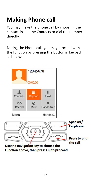# <span id="page-12-0"></span>**Making Phone call**

You may make the phone call by choosing the contact inside the Contacts or dial the number directly.

During the Phone call, you may proceed with the function by pressing the button in keypad as below:



Function above, then press OK to proceed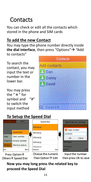# <span id="page-13-0"></span>**Contacts**

You can check or edit all the contacts which stored in the phone and SIM cards

### <span id="page-13-1"></span>**To add the new Contact**

You may type the phone number directly inside **the dial interface**, then press "Options"  $\rightarrow$  "Add to contacts"

To search the **Add** contacts contact, you may input the text or  $\Box$  Dan number in the **Danny** lower bar.

You may press the "\*" for symbol and "#" to switch the  $\overline{Q}$  Search input method

Others  $\rightarrow$  Speed Dial



### <span id="page-13-2"></span>**To Setup the Speed Dial**



**Now you may long press the related key to proceed the Speed Dial**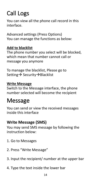# <span id="page-14-0"></span>Call Logs

You can view all the phone call record in this interface.

Advanced settings (Press Options) You can manage the functions as below:

### **Add to blacklist**

The phone number you select will be blocked, which mean that number cannot call or message you anymore

To manage the blacklist, Please go to Setting → Security → Blacklist

### **Write Message**

Switch to the Message interface, the phone number selected will become the recipient

## <span id="page-14-1"></span>Message

You can send or view the received messages inside this interface

### <span id="page-14-2"></span>**Write Message (SMS)**

You may send SMS message by following the instruction below:

- 1. Go to Messages
- 2. Press "Write Message"
- 3. Input the recipient/ number at the upper bar
- 4. Type the text inside the lower bar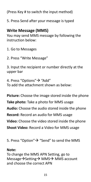(Press Key # to switch the input method)

5. Press Send after your message is typed

### <span id="page-15-0"></span>**Write Message (MMS)**

You may send MMS message by following the instruction below:

1. Go to Messages

2. Press "Write Message"

3. Input the recipient or number directly at the upper bar

4. Press "Options"  $\rightarrow$  "Add" To add the attachment shown as below:

**Picture:** Choose the image stored inside the phone **Take photo:** Take a photo for MMS usage **Audio:** Choose the audio stored inside the phone **Record:** Record an audio for MMS usage **Video:** Choose the video stored inside the phone **Shoot Video:** Record a Video for MMS usage

5. Press "Option"  $\rightarrow$  "Send" to send the MMS

### **Note:**

To change the MMS APN Setting, go to Message > Setting > MMS > MMS account and choose the correct APN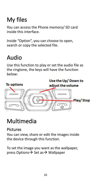# <span id="page-16-0"></span>My files

You can access the Phone memory/ SD card inside this interface.

Inside "Option", you can choose to open, search or copy the selected file.

# <span id="page-16-1"></span>Audio

Use this function to play or set the audio file as the ringtone, the keys will have the function below:



# <span id="page-16-2"></span>Multimedia

### <span id="page-16-3"></span>Pictures

You can view, share or edit the images inside the device through this function.

To set the image you want as the wallpaper, press Options  $\rightarrow$  Set as  $\rightarrow$  Wallpaper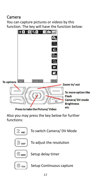### <span id="page-17-0"></span>Camera

You can capture pictures or videos by this function. The key will have the function below:



Also you may press the key below for further functions:

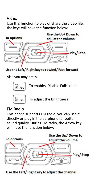### <span id="page-18-0"></span>Video

Use this function to play or share the video file, the keys will have the function below:



### Use the Left/Right key to rewind/Fast-forward

Also you may press:



To enable/ Disable Fullscreen

To adjust the brightness

### <span id="page-18-1"></span>FM Radio

This phone supports FM radio, you can use it directly or plug in the earphone for better sound quality. During FM radio, the Arrow key will have the function below:

Use the Up/ Down to **To options** adjust the volume Play/Stop gla

18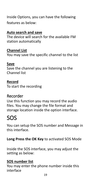Inside Options, you can have the following features as below:

### **Auto search and save**

The device will search for the available FM station automatically

### **Channel List**

You may save the specific channel to the list

### **Save**

Save the channel you are listening to the Channel list

### **Record**

To start the recording

### <span id="page-19-0"></span>Recorder

Use this function you may record the audio files. You may change the file format and storage location inside the option interface.

# <span id="page-19-1"></span>SOS

You can setup the SOS number and Message in this interface.

**Long Press the OK Key** to activated SOS Mode

Inside the SOS interface, you may adjust the setting as below:

### **SOS number list**

You may enter the phone number inside this interface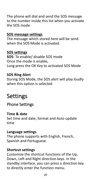The phone will dial and send the SOS message to the number inside this list when you activate the SOS mode

### **SOS message settings**

The message which stored here will be send when the SOS Mode is activated

**SOS settings SOS**: To enable/ disable SOS mode Once the mode is enable, Long press the OK Key to activated SOS Mode

### **SOS Ring Alert**

During SOS Mode, the SOS alert will play loudly when this option is selected

# <span id="page-20-0"></span>Settings

### <span id="page-20-1"></span>Phone Settings

### **Time & date**

Set time and date, format and Auto update time

### **Language settings**

The phone supports with English, French, Spanish and Portuguese.

### **Shortcut settings**

Customize the shortcut functions of the Up, Down, Left and Right direction keys. In the standby interface, you can press a direction key to directly enter the function menu.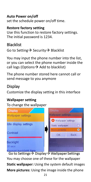### **Auto Power on/off**

set the schedule power on/off time.

### **Restore factory setting**

Use this function to restore factory settings. The initial password is 1234.

### <span id="page-21-0"></span>**Blacklist**

Go to Setting  $\rightarrow$  Security  $\rightarrow$  Blacklist

You may input the phone number into the list, or you can select the phone number inside the call logs (Options  $\rightarrow$  Add to blacklist)

The phone number stored here cannot call or send message to you anymore

### <span id="page-21-1"></span>Display

Customize the display setting in this interface

### **Wallpaper setting**

To change the wallpaper



Go to Settings > Display > Wallpaper Settings You may choose one of these for the wallpaper **Static wallpaper:** Using the system default images **More pictures:** Using the image inside the phone21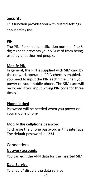### <span id="page-22-0"></span>Security

This function provides you with related settings about safety use.

### **PIN**

The PIN (Personal identification number, 4 to 8 digits) code prevents your SIM card from being used by unauthorized people.

### **Modify PIN**

In general, the PIN is supplied with SIM card by the network operator. If PIN check is enabled, you need to input the PIN each time when you power on your mobile phone. The SIM card will be locked if you input wrong PIN code for three times.

### **Phone locked**

Password will be needed when you power on your mobile phone

### **Modify the cellphone password**

To change the phone password in this interface The default password is 1234

### <span id="page-22-1"></span>Connections

### **Network accounts**

You can edit the APN data for the inserted SIM

### **Data Service**

To enable/ disable the data service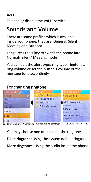### **VoLTE**

To enable/ disable the VoLTE service

# <span id="page-23-0"></span>Sounds and Volume

There are some profiles which is available inside your phone, they are: General, Silent, Meeting and Outdoor

Long Press the # key to switch the phone into Normal/ Silent/ Meeting mode

You can edit the alert type, ring type, ringtones, ring volume or set the button's volume or the message tone accordingly.

### <span id="page-23-1"></span>For changing ringtone



You may choose one of these for the ringtone **Fixed ringtone:** Using the system default ringtone **More ringtones:** Using the audio inside the phone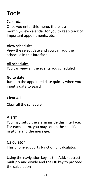# <span id="page-24-0"></span>Tools

### <span id="page-24-1"></span>Calendar

Once you enter this menu, there is a monthly-view calendar for you to keep track of important appointments, etc.

### **View schedules**

View the select date and you can add the schedule in this interface.

### **All schedules**

You can view all the events you scheduled

### **Go to date**

Jump to the appointed date quickly when you input a date to search.

### **Clear All**

Clear all the schedule

### <span id="page-24-2"></span>Alarm

You may setup the alarm inside this interface. For each alarm, you may set up the specific ringtone and the message.

### <span id="page-24-3"></span>Calculator

This phone supports function of calculator.

Using the navigation key as the Add, subtract, multiply and divide and the OK key to proceed the calculation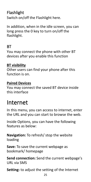### <span id="page-25-0"></span>Flashlight

Switch on/off the Flashlight here.

In addition, when in the idle screen, you can long press the 0 key to turn on/off the flashlight.

### <span id="page-25-1"></span>BT **Example 2008**

You may connect the phone with other BT devices after you enable this function

### **BT visibility**

Other users can find your phone after this function is on.

### **Paired Devices**

You may connect the saved BT device inside this interface

# <span id="page-25-2"></span>Internet

In this menu, you can access to internet, enter the URL and you can start to browse the web.

Inside Options, you can have the following features as below:

**Navigation:** To refresh/ stop the website loading

**Save:** To save the current webpage as bookmark/ homepage

**Send connection:** Send the current webpage's URL via SMS

**Setting:** to adjust the setting of the Internet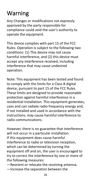# <span id="page-26-0"></span>Warning

Any Changes or modifications not expressly approved by the party responsible for compliance could void the user's authority to operate the equipment.

This device complies with part 15 of the FCC Rules. Operation is subject to the following two conditions: (1) This device may not cause harmful interference, and (2) this device must accept any interference received, including interference that may cause undesired operation.

Note: This equipment has been tested and found to comply with the limits for a Class B digital device, pursuant to part 15 of the FCC Rules. These limits are designed to provide reasonable protection against harmful interference in a residential installation. This equipment generates, uses and can radiate radio frequency energy and, if not installed and used in accordance with the instructions, may cause harmful interference to radio communications.

However, there is no guarantee that interference will not occur in a particular installation. If this equipment does cause harmful interference to radio or television reception, which can be determined by turning the equipment off and on, the user is encouraged to try to correct the interference by one or more of the following measures:

—Reorient or relocate the receiving antenna.

—Increase the separation between the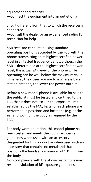equipment and receiver.

—Connect the equipment into an outlet on a

circuit different from that to which the receiver is connected.

-Consult the dealer or an experienced radio/TV technician for help.

SAR tests are conducted using standard operating positions accepted by the FCC with the phone transmitting at its highest certified power level in all tested frequency bands, although the SAR is determined at the highest certified power level, the actual SAR level of the phone while operating can be well below the maximum value, in general, the closer you are to a wireless base station antenna, the lower the power output.

Before a new model phone is available for sale to the public, it must be tested and certified to the FCC that it does not exceed the exposure limit established by the FCC, Tests for each phone are performed in positions and locations (e.g. at the ear and worn on the body)as required by the FCC.

For body worn operation, this model phone has been tested and meets the FCC RF exposure guidelines when used with an accessory designated for this product or when used with an accessory that contains no metal and that positions the handset a minimum of 1.0 cm from the body.

Non-compliance with the above restrictions may result in violation of RF exposure guidelines.